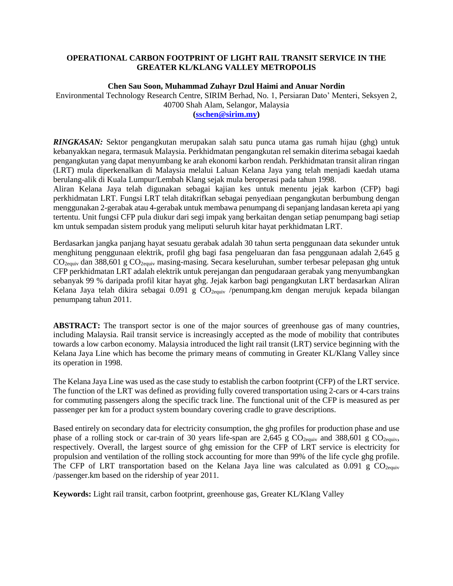# **OPERATIONAL CARBON FOOTPRINT OF LIGHT RAIL TRANSIT SERVICE IN THE GREATER KL/KLANG VALLEY METROPOLIS**

#### **Chen Sau Soon, Muhammad Zuhayr Dzul Haimi and Anuar Nordin**

Environmental Technology Research Centre, SIRIM Berhad, No. 1, Persiaran Dato' Menteri, Seksyen 2, 40700 Shah Alam, Selangor, Malaysia

**[\(sschen@sirim.my\)](mailto:sschen@sirim.my)**

*RINGKASAN:* Sektor pengangkutan merupakan salah satu punca utama gas rumah hijau (ghg) untuk kebanyakkan negara, termasuk Malaysia. Perkhidmatan pengangkutan rel semakin diterima sebagai kaedah pengangkutan yang dapat menyumbang ke arah ekonomi karbon rendah. Perkhidmatan transit aliran ringan (LRT) mula diperkenalkan di Malaysia melalui Laluan Kelana Jaya yang telah menjadi kaedah utama berulang-alik di Kuala Lumpur/Lembah Klang sejak mula beroperasi pada tahun 1998.

Aliran Kelana Jaya telah digunakan sebagai kajian kes untuk menentu jejak karbon (CFP) bagi perkhidmatan LRT. Fungsi LRT telah ditakrifkan sebagai penyediaan pengangkutan berbumbung dengan menggunakan 2-gerabak atau 4-gerabak untuk membawa penumpang di sepanjang landasan kereta api yang tertentu. Unit fungsi CFP pula diukur dari segi impak yang berkaitan dengan setiap penumpang bagi setiap km untuk sempadan sistem produk yang meliputi seluruh kitar hayat perkhidmatan LRT.

Berdasarkan jangka panjang hayat sesuatu gerabak adalah 30 tahun serta penggunaan data sekunder untuk menghitung penggunaan elektrik, profil ghg bagi fasa pengeluaran dan fasa penggunaan adalah 2,645 g CO2equiv dan 388,601 g CO2equiv masing-masing. Secara keseluruhan, sumber terbesar pelepasan ghg untuk CFP perkhidmatan LRT adalah elektrik untuk perejangan dan pengudaraan gerabak yang menyumbangkan sebanyak 99 % daripada profil kitar hayat ghg. Jejak karbon bagi pengangkutan LRT berdasarkan Aliran Kelana Jaya telah dikira sebagai 0.091 g CO<sub>2equiv</sub> /penumpang.km dengan merujuk kepada bilangan penumpang tahun 2011.

**ABSTRACT:** The transport sector is one of the major sources of greenhouse gas of many countries, including Malaysia. Rail transit service is increasingly accepted as the mode of mobility that contributes towards a low carbon economy. Malaysia introduced the light rail transit (LRT) service beginning with the Kelana Jaya Line which has become the primary means of commuting in Greater KL/Klang Valley since its operation in 1998.

The Kelana Jaya Line was used as the case study to establish the carbon footprint (CFP) of the LRT service. The function of the LRT was defined as providing fully covered transportation using 2-cars or 4-cars trains for commuting passengers along the specific track line. The functional unit of the CFP is measured as per passenger per km for a product system boundary covering cradle to grave descriptions.

Based entirely on secondary data for electricity consumption, the ghg profiles for production phase and use phase of a rolling stock or car-train of 30 years life-span are 2,645 g  $CO<sub>2equiv</sub>$  and 388,601 g  $CO<sub>2equiv</sub>$ , respectively. Overall, the largest source of ghg emission for the CFP of LRT service is electricity for propulsion and ventilation of the rolling stock accounting for more than 99% of the life cycle ghg profile. The CFP of LRT transportation based on the Kelana Jaya line was calculated as  $0.091 \text{ g } CO_{2\text{equiv}}$ /passenger.km based on the ridership of year 2011.

**Keywords:** Light rail transit, carbon footprint, greenhouse gas, Greater KL/Klang Valley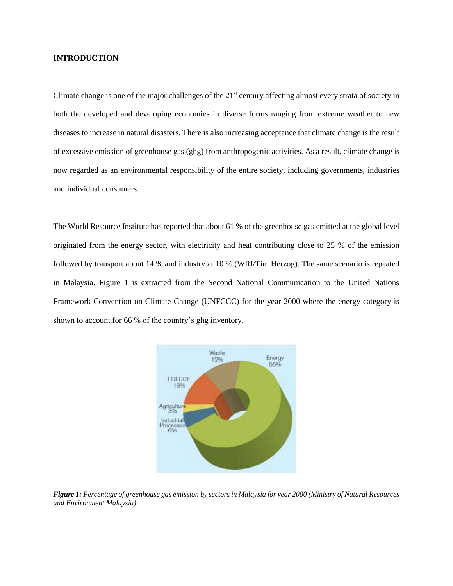### **INTRODUCTION**

Climate change is one of the major challenges of the 21<sup>st</sup> century affecting almost every strata of society in both the developed and developing economies in diverse forms ranging from extreme weather to new diseases to increase in natural disasters. There is also increasing acceptance that climate change is the result of excessive emission of greenhouse gas (ghg) from anthropogenic activities. As a result, climate change is now regarded as an environmental responsibility of the entire society, including governments, industries and individual consumers.

The World Resource Institute has reported that about 61 % of the greenhouse gas emitted at the global level originated from the energy sector, with electricity and heat contributing close to 25 % of the emission followed by transport about 14 % and industry at 10 % (WRI/Tim Herzog). The same scenario is repeated in Malaysia. Figure 1 is extracted from the Second National Communication to the United Nations Framework Convention on Climate Change (UNFCCC) for the year 2000 where the energy category is shown to account for 66 % of the country's ghg inventory.



*Figure 1: Percentage of greenhouse gas emission by sectors in Malaysia for year 2000 (Ministry of Natural Resources and Environment Malaysia)*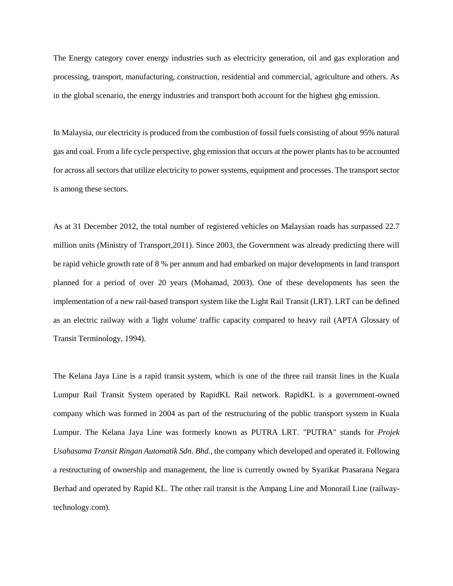The Energy category cover energy industries such as electricity generation, oil and gas exploration and processing, transport, manufacturing, construction, residential and commercial, agriculture and others. As in the global scenario, the energy industries and transport both account for the highest ghg emission.

In Malaysia, our electricity is produced from the combustion of fossil fuels consisting of about 95% natural gas and coal. From a life cycle perspective, ghg emission that occurs at the power plants has to be accounted for across all sectors that utilize electricity to power systems, equipment and processes. The transport sector is among these sectors.

As at 31 December 2012, the total number of registered vehicles on Malaysian roads has surpassed 22.7 million units (Ministry of Transport,2011). Since 2003, the Government was already predicting there will be rapid vehicle growth rate of 8 % per annum and had embarked on major developments in land transport planned for a period of over 20 years (Mohamad, 2003). One of these developments has seen the implementation of a new rail-based transport system like the Light Rail Transit (LRT). LRT can be defined as an electric railway with a 'light volume' traffic capacity compared to heavy rail (APTA Glossary of Transit Terminology, 1994).

The Kelana Jaya Line is a rapid transit system, which is one of the three rail transit lines in the Kuala Lumpur Rail Transit System operated by RapidKL Rail network. RapidKL is a government-owned company which was formed in 2004 as part of the restructuring of the public transport system in Kuala Lumpur. The Kelana Jaya Line was formerly known as PUTRA LRT. "PUTRA" stands for *Projek Usahasama Transit Ringan Automatik Sdn. Bhd.*, the company which developed and operated it. Following a restructuring of ownership and management, the line is currently owned by Syarikat Prasarana Negara Berhad and operated by Rapid KL. The other rail transit is the Ampang Line and Monorail Line (railwaytechnology.com).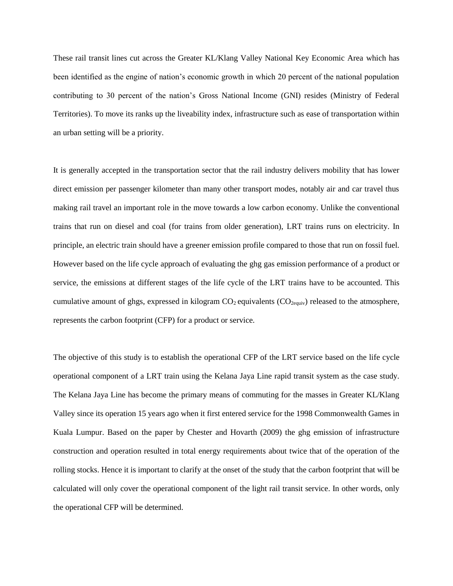These rail transit lines cut across the Greater KL/Klang Valley National Key Economic Area which has been identified as the engine of nation's economic growth in which 20 percent of the national population contributing to 30 percent of the nation's Gross National Income (GNI) resides (Ministry of Federal Territories). To move its ranks up the liveability index, infrastructure such as ease of transportation within an urban setting will be a priority.

It is generally accepted in the transportation sector that the rail industry delivers mobility that has lower direct emission per passenger kilometer than many other transport modes, notably air and car travel thus making rail travel an important role in the move towards a low carbon economy. Unlike the conventional trains that run on diesel and coal (for trains from older generation), LRT trains runs on electricity. In principle, an electric train should have a greener emission profile compared to those that run on fossil fuel. However based on the life cycle approach of evaluating the ghg gas emission performance of a product or service, the emissions at different stages of the life cycle of the LRT trains have to be accounted. This cumulative amount of ghgs, expressed in kilogram  $CO_2$  equivalents  $(CO_{2 \text{equiv}})$  released to the atmosphere, represents the carbon footprint (CFP) for a product or service.

The objective of this study is to establish the operational CFP of the LRT service based on the life cycle operational component of a LRT train using the Kelana Jaya Line rapid transit system as the case study. The Kelana Jaya Line has become the primary means of commuting for the masses in Greater KL/Klang Valley since its operation 15 years ago when it first entered service for the 1998 Commonwealth Games in Kuala Lumpur. Based on the paper by Chester and Hovarth (2009) the ghg emission of infrastructure construction and operation resulted in total energy requirements about twice that of the operation of the rolling stocks. Hence it is important to clarify at the onset of the study that the carbon footprint that will be calculated will only cover the operational component of the light rail transit service. In other words, only the operational CFP will be determined.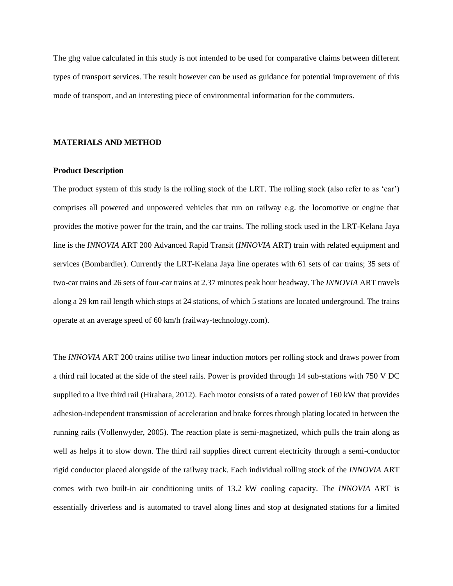The ghg value calculated in this study is not intended to be used for comparative claims between different types of transport services. The result however can be used as guidance for potential improvement of this mode of transport, and an interesting piece of environmental information for the commuters.

#### **MATERIALS AND METHOD**

### **Product Description**

The product system of this study is the rolling stock of the LRT. The rolling stock (also refer to as 'car') comprises all powered and unpowered vehicles that run on railway e.g. the locomotive or engine that provides the motive power for the train, and the car trains. The rolling stock used in the LRT-Kelana Jaya line is the *INNOVIA* ART 200 Advanced Rapid Transit (*INNOVIA* ART) train with related equipment and services (Bombardier). Currently the LRT-Kelana Jaya line operates with 61 sets of car trains; 35 sets of two-car trains and 26 sets of four-car trains at 2.37 minutes peak hour headway. The *INNOVIA* ART travels along a 29 km rail length which stops at 24 stations, of which 5 stations are located underground. The trains operate at an average speed of 60 km/h (railway-technology.com).

The *INNOVIA* ART 200 trains utilise two linear induction motors per rolling stock and draws power from a third rail located at the side of the steel rails. Power is provided through 14 sub-stations with 750 V DC supplied to a live third rail (Hirahara, 2012). Each motor consists of a rated power of 160 kW that provides adhesion-independent transmission of acceleration and brake forces through plating located in between the running rails (Vollenwyder, 2005). The reaction plate is semi-magnetized, which pulls the train along as well as helps it to slow down. The third rail supplies direct current electricity through a semi-conductor rigid conductor placed alongside of the railway track. Each individual rolling stock of the *INNOVIA* ART comes with two built-in air conditioning units of 13.2 kW cooling capacity. The *INNOVIA* ART is essentially driverless and is automated to travel along lines and stop at designated stations for a limited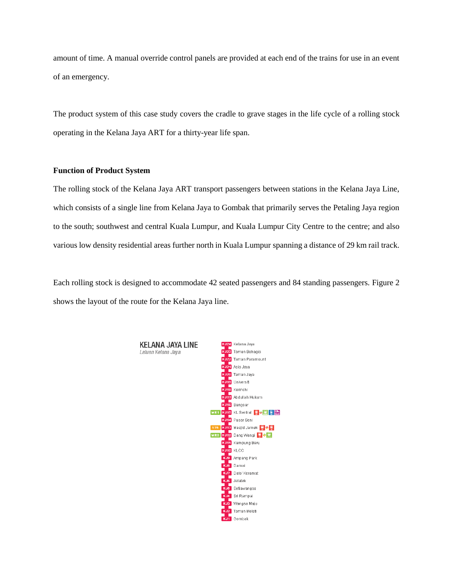amount of time. A manual override control panels are provided at each end of the trains for use in an event of an emergency.

The product system of this case study covers the cradle to grave stages in the life cycle of a rolling stock operating in the Kelana Jaya ART for a thirty-year life span.

# **Function of Product System**

The rolling stock of the Kelana Jaya ART transport passengers between stations in the Kelana Jaya Line, which consists of a single line from Kelana Jaya to Gombak that primarily serves the Petaling Jaya region to the south; southwest and central Kuala Lumpur, and Kuala Lumpur City Centre to the centre; and also various low density residential areas further north in Kuala Lumpur spanning a distance of 29 km rail track.

Each rolling stock is designed to accommodate 42 seated passengers and 84 standing passengers. Figure 2 shows the layout of the route for the Kelana Jaya line.

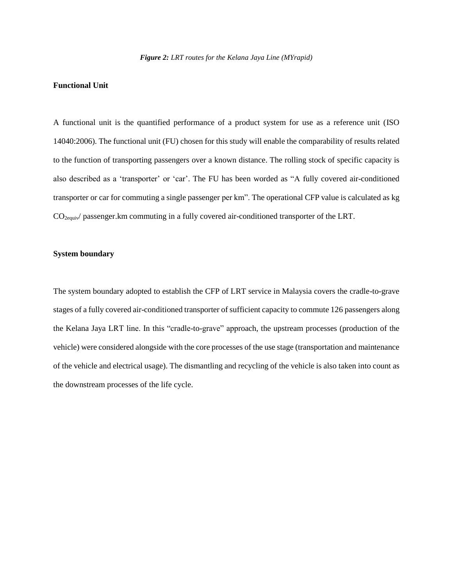## **Functional Unit**

A functional unit is the quantified performance of a product system for use as a reference unit (ISO 14040:2006). The functional unit (FU) chosen for this study will enable the comparability of results related to the function of transporting passengers over a known distance. The rolling stock of specific capacity is also described as a 'transporter' or 'car'. The FU has been worded as "A fully covered air-conditioned transporter or car for commuting a single passenger per km". The operational CFP value is calculated as kg CO2equiv/ passenger.km commuting in a fully covered air-conditioned transporter of the LRT.

#### **System boundary**

The system boundary adopted to establish the CFP of LRT service in Malaysia covers the cradle-to-grave stages of a fully covered air-conditioned transporter of sufficient capacity to commute 126 passengers along the Kelana Jaya LRT line. In this "cradle-to-grave" approach, the upstream processes (production of the vehicle) were considered alongside with the core processes of the use stage (transportation and maintenance of the vehicle and electrical usage). The dismantling and recycling of the vehicle is also taken into count as the downstream processes of the life cycle.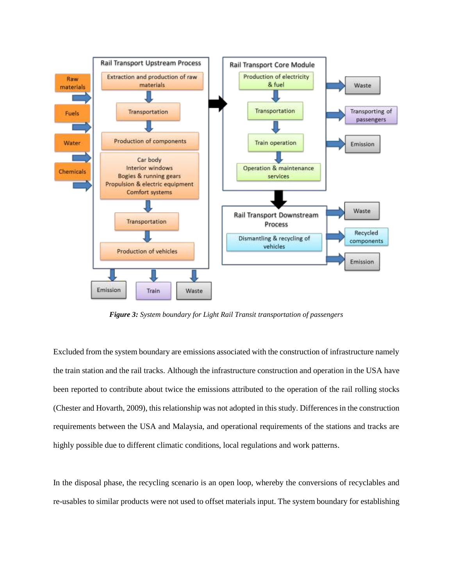

*Figure 3: System boundary for Light Rail Transit transportation of passengers*

Excluded from the system boundary are emissions associated with the construction of infrastructure namely the train station and the rail tracks. Although the infrastructure construction and operation in the USA have been reported to contribute about twice the emissions attributed to the operation of the rail rolling stocks (Chester and Hovarth, 2009), this relationship was not adopted in this study. Differences in the construction requirements between the USA and Malaysia, and operational requirements of the stations and tracks are highly possible due to different climatic conditions, local regulations and work patterns.

In the disposal phase, the recycling scenario is an open loop, whereby the conversions of recyclables and re-usables to similar products were not used to offset materials input. The system boundary for establishing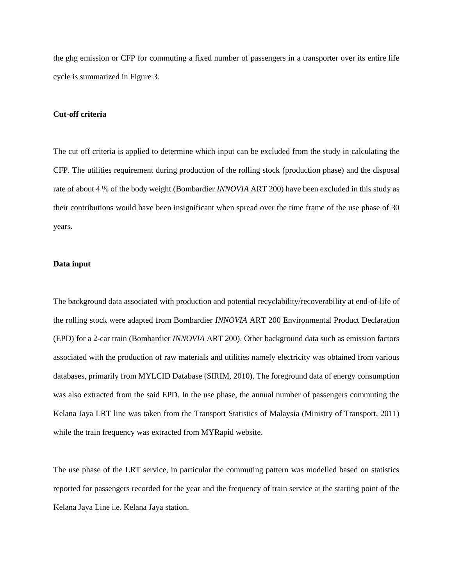the ghg emission or CFP for commuting a fixed number of passengers in a transporter over its entire life cycle is summarized in Figure 3.

## **Cut-off criteria**

The cut off criteria is applied to determine which input can be excluded from the study in calculating the CFP. The utilities requirement during production of the rolling stock (production phase) and the disposal rate of about 4 % of the body weight (Bombardier *INNOVIA* ART 200) have been excluded in this study as their contributions would have been insignificant when spread over the time frame of the use phase of 30 years.

# **Data input**

The background data associated with production and potential recyclability/recoverability at end-of-life of the rolling stock were adapted from Bombardier *INNOVIA* ART 200 Environmental Product Declaration (EPD) for a 2-car train (Bombardier *INNOVIA* ART 200). Other background data such as emission factors associated with the production of raw materials and utilities namely electricity was obtained from various databases, primarily from MYLCID Database (SIRIM, 2010). The foreground data of energy consumption was also extracted from the said EPD. In the use phase, the annual number of passengers commuting the Kelana Jaya LRT line was taken from the Transport Statistics of Malaysia (Ministry of Transport, 2011) while the train frequency was extracted from MYRapid website.

The use phase of the LRT service, in particular the commuting pattern was modelled based on statistics reported for passengers recorded for the year and the frequency of train service at the starting point of the Kelana Jaya Line i.e. Kelana Jaya station.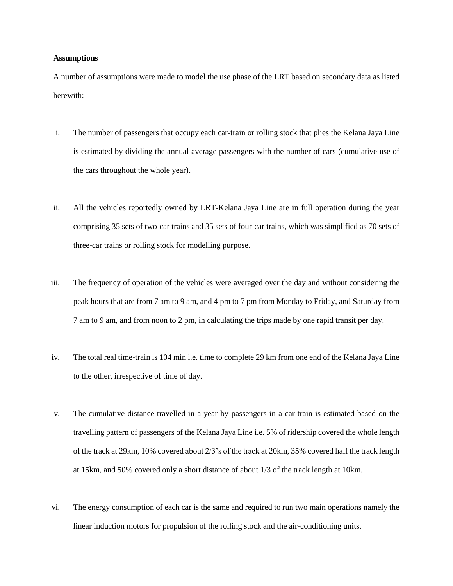#### **Assumptions**

A number of assumptions were made to model the use phase of the LRT based on secondary data as listed herewith:

- i. The number of passengers that occupy each car-train or rolling stock that plies the Kelana Jaya Line is estimated by dividing the annual average passengers with the number of cars (cumulative use of the cars throughout the whole year).
- ii. All the vehicles reportedly owned by LRT-Kelana Jaya Line are in full operation during the year comprising 35 sets of two-car trains and 35 sets of four-car trains, which was simplified as 70 sets of three-car trains or rolling stock for modelling purpose.
- iii. The frequency of operation of the vehicles were averaged over the day and without considering the peak hours that are from 7 am to 9 am, and 4 pm to 7 pm from Monday to Friday, and Saturday from 7 am to 9 am, and from noon to 2 pm, in calculating the trips made by one rapid transit per day.
- iv. The total real time-train is 104 min i.e. time to complete 29 km from one end of the Kelana Jaya Line to the other, irrespective of time of day.
- v. The cumulative distance travelled in a year by passengers in a car-train is estimated based on the travelling pattern of passengers of the Kelana Jaya Line i.e. 5% of ridership covered the whole length of the track at 29km, 10% covered about 2/3's of the track at 20km, 35% covered half the track length at 15km, and 50% covered only a short distance of about 1/3 of the track length at 10km.
- vi. The energy consumption of each car is the same and required to run two main operations namely the linear induction motors for propulsion of the rolling stock and the air-conditioning units.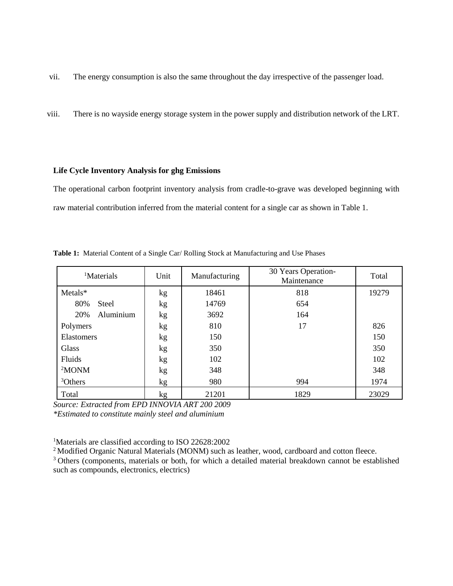vii. The energy consumption is also the same throughout the day irrespective of the passenger load.

viii. There is no wayside energy storage system in the power supply and distribution network of the LRT.

## **Life Cycle Inventory Analysis for ghg Emissions**

The operational carbon footprint inventory analysis from cradle-to-grave was developed beginning with raw material contribution inferred from the material content for a single car as shown in Table 1.

| <sup>1</sup> Materials | Unit | Manufacturing | 30 Years Operation-<br>Maintenance | Total |
|------------------------|------|---------------|------------------------------------|-------|
| Metals*                | kg   | 18461         | 818                                | 19279 |
| 80%<br><b>Steel</b>    | kg   | 14769         | 654                                |       |
| Aluminium<br>20%       | kg   | 3692          | 164                                |       |
| Polymers               | kg   | 810           | 17                                 | 826   |
| <b>Elastomers</b>      | kg   | 150           |                                    | 150   |
| <b>Glass</b>           | kg   | 350           |                                    | 350   |
| Fluids                 | kg   | 102           |                                    | 102   |
| $2$ MONM               | kg   | 348           |                                    | 348   |
| <sup>3</sup> Others    | kg   | 980           | 994                                | 1974  |
| Total                  | kg   | 21201         | 1829                               | 23029 |

**Table 1:** Material Content of a Single Car/ Rolling Stock at Manufacturing and Use Phases

*Source: Extracted from EPD INNOVIA ART 200 2009 \*Estimated to constitute mainly steel and aluminium*

<sup>1</sup>Materials are classified according to ISO 22628:2002

<sup>2</sup> Modified Organic Natural Materials (MONM) such as leather, wood, cardboard and cotton fleece.

<sup>3</sup> Others (components, materials or both, for which a detailed material breakdown cannot be established such as compounds, electronics, electrics)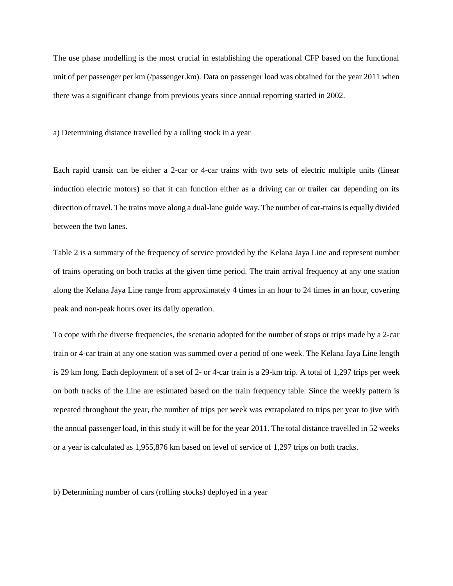The use phase modelling is the most crucial in establishing the operational CFP based on the functional unit of per passenger per km (/passenger.km). Data on passenger load was obtained for the year 2011 when there was a significant change from previous years since annual reporting started in 2002.

a) Determining distance travelled by a rolling stock in a year

Each rapid transit can be either a 2-car or 4-car trains with two sets of electric multiple units (linear induction electric motors) so that it can function either as a driving car or trailer car depending on its direction of travel. The trains move along a dual-lane guide way. The number of car-trains is equally divided between the two lanes.

Table 2 is a summary of the frequency of service provided by the Kelana Jaya Line and represent number of trains operating on both tracks at the given time period. The train arrival frequency at any one station along the Kelana Jaya Line range from approximately 4 times in an hour to 24 times in an hour, covering peak and non-peak hours over its daily operation.

To cope with the diverse frequencies, the scenario adopted for the number of stops or trips made by a 2-car train or 4-car train at any one station was summed over a period of one week. The Kelana Jaya Line length is 29 km long. Each deployment of a set of 2- or 4-car train is a 29-km trip. A total of 1,297 trips per week on both tracks of the Line are estimated based on the train frequency table. Since the weekly pattern is repeated throughout the year, the number of trips per week was extrapolated to trips per year to jive with the annual passenger load, in this study it will be for the year 2011. The total distance travelled in 52 weeks or a year is calculated as 1,955,876 km based on level of service of 1,297 trips on both tracks.

b) Determining number of cars (rolling stocks) deployed in a year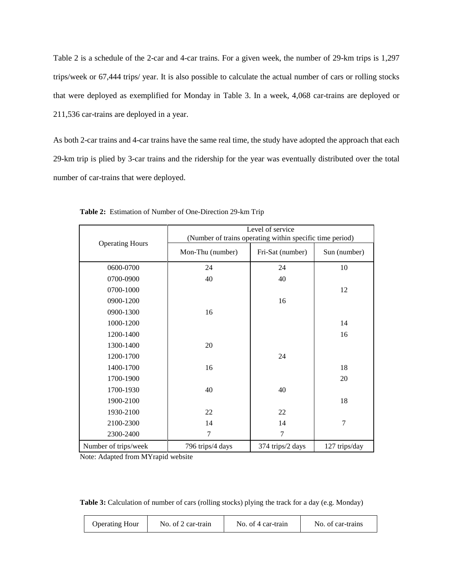Table 2 is a schedule of the 2-car and 4-car trains. For a given week, the number of 29-km trips is 1,297 trips/week or 67,444 trips/ year. It is also possible to calculate the actual number of cars or rolling stocks that were deployed as exemplified for Monday in Table 3. In a week, 4,068 car-trains are deployed or 211,536 car-trains are deployed in a year.

As both 2-car trains and 4-car trains have the same real time, the study have adopted the approach that each 29-km trip is plied by 3-car trains and the ridership for the year was eventually distributed over the total number of car-trains that were deployed.

|                        | Level of service<br>(Number of trains operating within specific time period) |                  |                |  |
|------------------------|------------------------------------------------------------------------------|------------------|----------------|--|
| <b>Operating Hours</b> | Mon-Thu (number)                                                             | Fri-Sat (number) | Sun (number)   |  |
| 0600-0700              | 24                                                                           | 24               | 10             |  |
| 0700-0900              | 40                                                                           | 40               |                |  |
| 0700-1000              |                                                                              |                  | 12             |  |
| 0900-1200              |                                                                              | 16               |                |  |
| 0900-1300              | 16                                                                           |                  |                |  |
| 1000-1200              |                                                                              |                  | 14             |  |
| 1200-1400              |                                                                              |                  | 16             |  |
| 1300-1400              | 20                                                                           |                  |                |  |
| 1200-1700              |                                                                              | 24               |                |  |
| 1400-1700              | 16                                                                           |                  | 18             |  |
| 1700-1900              |                                                                              |                  | 20             |  |
| 1700-1930              | 40                                                                           | 40               |                |  |
| 1900-2100              |                                                                              |                  | 18             |  |
| 1930-2100              | 22                                                                           | 22               |                |  |
| 2100-2300              | 14                                                                           | 14               | $\overline{7}$ |  |
| 2300-2400              | 7                                                                            | 7                |                |  |
| Number of trips/week   | 796 trips/4 days                                                             | 374 trips/2 days | 127 trips/day  |  |

**Table 2:** Estimation of Number of One-Direction 29-km Trip

Note: Adapted from MYrapid website

**Table 3:** Calculation of number of cars (rolling stocks) plying the track for a day (e.g. Monday)

| <b>Operating Hour</b> | No. of 2 car-train | No. of 4 car-train | No. of car-trains |
|-----------------------|--------------------|--------------------|-------------------|
|-----------------------|--------------------|--------------------|-------------------|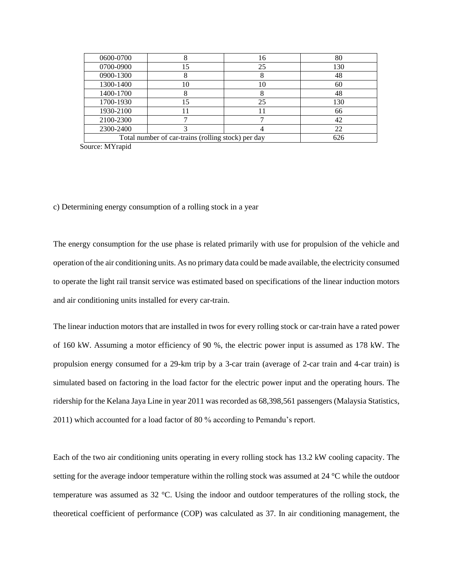| 0600-0700 |                                                    | 16  | 80  |
|-----------|----------------------------------------------------|-----|-----|
| 0700-0900 | 15                                                 | 25  | 130 |
| 0900-1300 |                                                    |     | 48  |
| 1300-1400 | 10                                                 | 10  | 60  |
| 1400-1700 |                                                    |     | 48  |
| 1700-1930 | 15                                                 | 25  | 130 |
| 1930-2100 |                                                    |     | 66  |
| 2100-2300 |                                                    |     | 42  |
| 2300-2400 |                                                    |     | 22  |
|           | Total number of car-trains (rolling stock) per day | 626 |     |

Source: MYrapid

#### c) Determining energy consumption of a rolling stock in a year

The energy consumption for the use phase is related primarily with use for propulsion of the vehicle and operation of the air conditioning units. As no primary data could be made available, the electricity consumed to operate the light rail transit service was estimated based on specifications of the linear induction motors and air conditioning units installed for every car-train.

The linear induction motors that are installed in twos for every rolling stock or car-train have a rated power of 160 kW. Assuming a motor efficiency of 90 %, the electric power input is assumed as 178 kW. The propulsion energy consumed for a 29-km trip by a 3-car train (average of 2-car train and 4-car train) is simulated based on factoring in the load factor for the electric power input and the operating hours. The ridership for the Kelana Jaya Line in year 2011 was recorded as 68,398,561 passengers (Malaysia Statistics, 2011) which accounted for a load factor of 80 % according to Pemandu's report.

Each of the two air conditioning units operating in every rolling stock has 13.2 kW cooling capacity. The setting for the average indoor temperature within the rolling stock was assumed at 24 °C while the outdoor temperature was assumed as 32 °C. Using the indoor and outdoor temperatures of the rolling stock, the theoretical coefficient of performance (COP) was calculated as 37. In air conditioning management, the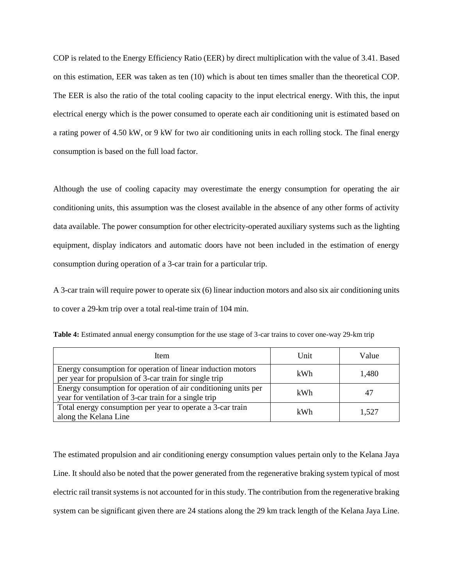COP is related to the Energy Efficiency Ratio (EER) by direct multiplication with the value of 3.41. Based on this estimation, EER was taken as ten (10) which is about ten times smaller than the theoretical COP. The EER is also the ratio of the total cooling capacity to the input electrical energy. With this, the input electrical energy which is the power consumed to operate each air conditioning unit is estimated based on a rating power of 4.50 kW, or 9 kW for two air conditioning units in each rolling stock. The final energy consumption is based on the full load factor.

Although the use of cooling capacity may overestimate the energy consumption for operating the air conditioning units, this assumption was the closest available in the absence of any other forms of activity data available. The power consumption for other electricity-operated auxiliary systems such as the lighting equipment, display indicators and automatic doors have not been included in the estimation of energy consumption during operation of a 3-car train for a particular trip.

A 3-car train will require power to operate six (6) linear induction motors and also six air conditioning units to cover a 29-km trip over a total real-time train of 104 min.

| Item                                                                                                                    | Unit | Value |
|-------------------------------------------------------------------------------------------------------------------------|------|-------|
| Energy consumption for operation of linear induction motors<br>per year for propulsion of 3-car train for single trip   | kWh  | 1,480 |
| Energy consumption for operation of air conditioning units per<br>year for ventilation of 3-car train for a single trip | kWh  | 47    |
| Total energy consumption per year to operate a 3-car train<br>along the Kelana Line                                     | kWh  | 1,527 |

**Table 4:** Estimated annual energy consumption for the use stage of 3-car trains to cover one-way 29-km trip

The estimated propulsion and air conditioning energy consumption values pertain only to the Kelana Jaya Line. It should also be noted that the power generated from the regenerative braking system typical of most electric rail transit systems is not accounted for in this study. The contribution from the regenerative braking system can be significant given there are 24 stations along the 29 km track length of the Kelana Jaya Line.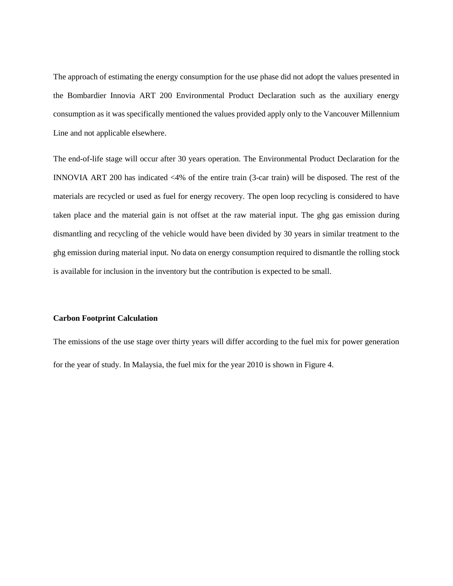The approach of estimating the energy consumption for the use phase did not adopt the values presented in the Bombardier Innovia ART 200 Environmental Product Declaration such as the auxiliary energy consumption as it was specifically mentioned the values provided apply only to the Vancouver Millennium Line and not applicable elsewhere.

The end-of-life stage will occur after 30 years operation. The Environmental Product Declaration for the INNOVIA ART 200 has indicated <4% of the entire train (3-car train) will be disposed. The rest of the materials are recycled or used as fuel for energy recovery. The open loop recycling is considered to have taken place and the material gain is not offset at the raw material input. The ghg gas emission during dismantling and recycling of the vehicle would have been divided by 30 years in similar treatment to the ghg emission during material input. No data on energy consumption required to dismantle the rolling stock is available for inclusion in the inventory but the contribution is expected to be small.

## **Carbon Footprint Calculation**

The emissions of the use stage over thirty years will differ according to the fuel mix for power generation for the year of study. In Malaysia, the fuel mix for the year 2010 is shown in Figure 4.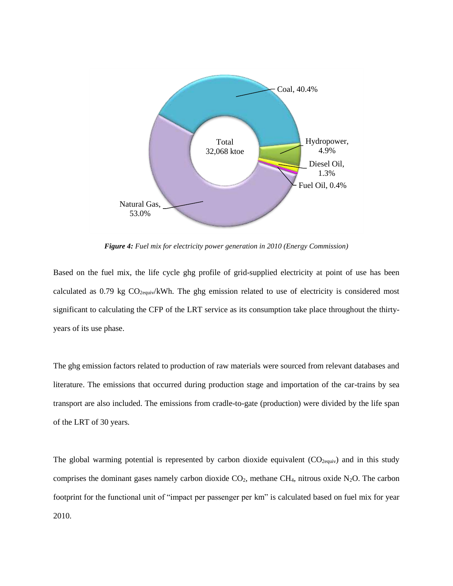

*Figure 4: Fuel mix for electricity power generation in 2010 (Energy Commission)*

Based on the fuel mix, the life cycle ghg profile of grid-supplied electricity at point of use has been calculated as  $0.79 \text{ kg CO}_{2\text{equiv}}/\text{kWh}$ . The ghg emission related to use of electricity is considered most significant to calculating the CFP of the LRT service as its consumption take place throughout the thirtyyears of its use phase.

The ghg emission factors related to production of raw materials were sourced from relevant databases and literature. The emissions that occurred during production stage and importation of the car-trains by sea transport are also included. The emissions from cradle-to-gate (production) were divided by the life span of the LRT of 30 years.

The global warming potential is represented by carbon dioxide equivalent  $(CO_{2\text{equiv}})$  and in this study comprises the dominant gases namely carbon dioxide  $CO<sub>2</sub>$ , methane CH<sub>4</sub>, nitrous oxide N<sub>2</sub>O. The carbon footprint for the functional unit of "impact per passenger per km" is calculated based on fuel mix for year 2010.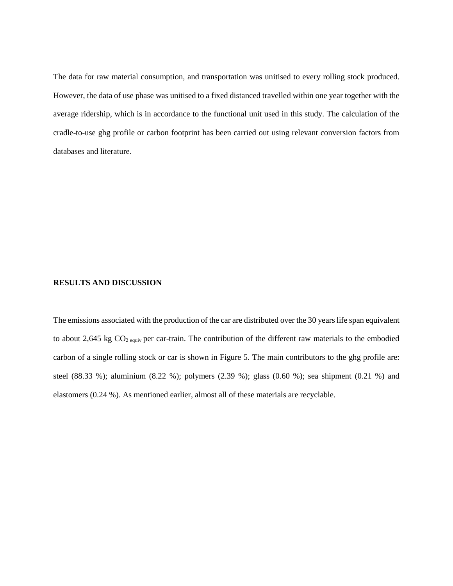The data for raw material consumption, and transportation was unitised to every rolling stock produced. However, the data of use phase was unitised to a fixed distanced travelled within one year together with the average ridership, which is in accordance to the functional unit used in this study. The calculation of the cradle-to-use ghg profile or carbon footprint has been carried out using relevant conversion factors from databases and literature.

### **RESULTS AND DISCUSSION**

The emissions associated with the production of the car are distributed over the 30 years life span equivalent to about 2,645 kg  $CO<sub>2</sub>$  equiv per car-train. The contribution of the different raw materials to the embodied carbon of a single rolling stock or car is shown in Figure 5. The main contributors to the ghg profile are: steel (88.33 %); aluminium (8.22 %); polymers (2.39 %); glass (0.60 %); sea shipment (0.21 %) and elastomers (0.24 %). As mentioned earlier, almost all of these materials are recyclable.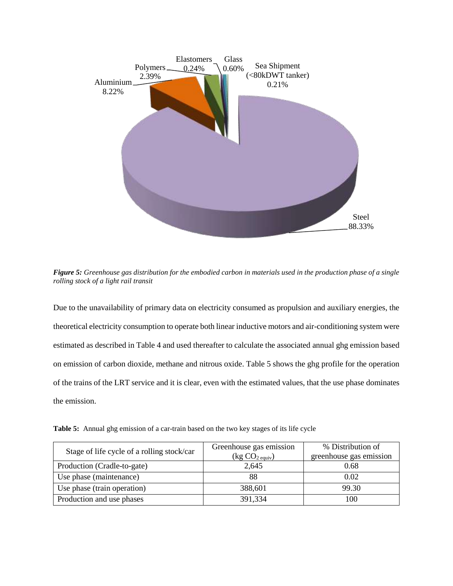

*Figure 5: Greenhouse gas distribution for the embodied carbon in materials used in the production phase of a single rolling stock of a light rail transit*

Due to the unavailability of primary data on electricity consumed as propulsion and auxiliary energies, the theoretical electricity consumption to operate both linear inductive motors and air-conditioning system were estimated as described in Table 4 and used thereafter to calculate the associated annual ghg emission based on emission of carbon dioxide, methane and nitrous oxide. Table 5 shows the ghg profile for the operation of the trains of the LRT service and it is clear, even with the estimated values, that the use phase dominates the emission.

**Table 5:** Annual ghg emission of a car-train based on the two key stages of its life cycle

| Stage of life cycle of a rolling stock/car | Greenhouse gas emission   | % Distribution of       |
|--------------------------------------------|---------------------------|-------------------------|
|                                            | $(\text{kg CO}_2)$ equiv) | greenhouse gas emission |
| Production (Cradle-to-gate)                | 2,645                     | 0.68                    |
| Use phase (maintenance)                    | 88                        | 0.02                    |
| Use phase (train operation)                | 388,601                   | 99.30                   |
| Production and use phases                  | 391,334                   | 100                     |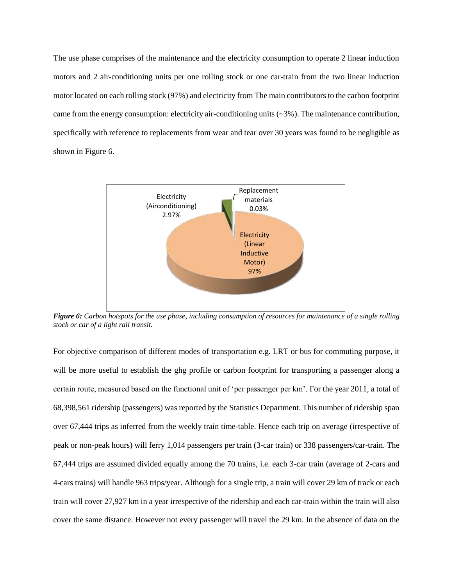The use phase comprises of the maintenance and the electricity consumption to operate 2 linear induction motors and 2 air-conditioning units per one rolling stock or one car-train from the two linear induction motor located on each rolling stock (97%) and electricity from The main contributors to the carbon footprint came from the energy consumption: electricity air-conditioning units (~3%). The maintenance contribution, specifically with reference to replacements from wear and tear over 30 years was found to be negligible as shown in Figure 6.



*Figure 6: Carbon hotspots for the use phase, including consumption of resources for maintenance of a single rolling stock or car of a light rail transit.*

For objective comparison of different modes of transportation e.g. LRT or bus for commuting purpose, it will be more useful to establish the ghg profile or carbon footprint for transporting a passenger along a certain route, measured based on the functional unit of 'per passenger per km'. For the year 2011, a total of 68,398,561 ridership (passengers) was reported by the Statistics Department. This number of ridership span over 67,444 trips as inferred from the weekly train time-table. Hence each trip on average (irrespective of peak or non-peak hours) will ferry 1,014 passengers per train (3-car train) or 338 passengers/car-train. The 67,444 trips are assumed divided equally among the 70 trains, i.e. each 3-car train (average of 2-cars and 4-cars trains) will handle 963 trips/year. Although for a single trip, a train will cover 29 km of track or each train will cover 27,927 km in a year irrespective of the ridership and each car-train within the train will also cover the same distance. However not every passenger will travel the 29 km. In the absence of data on the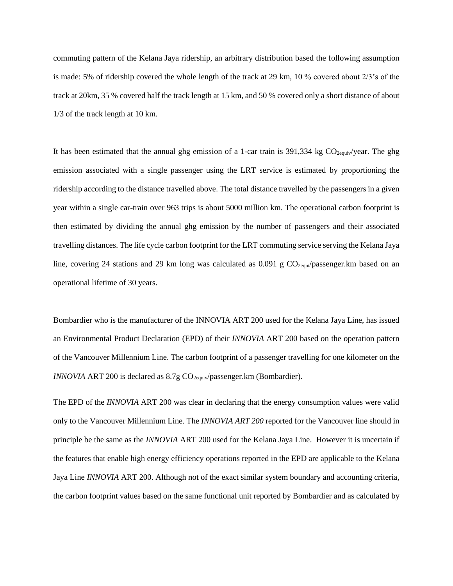commuting pattern of the Kelana Jaya ridership, an arbitrary distribution based the following assumption is made: 5% of ridership covered the whole length of the track at 29 km, 10 % covered about 2/3's of the track at 20km, 35 % covered half the track length at 15 km, and 50 % covered only a short distance of about 1/3 of the track length at 10 km.

It has been estimated that the annual ghg emission of a 1-car train is 391,334 kg  $CO_{2\text{eouiv}}/year$ . The ghg emission associated with a single passenger using the LRT service is estimated by proportioning the ridership according to the distance travelled above. The total distance travelled by the passengers in a given year within a single car-train over 963 trips is about 5000 million km. The operational carbon footprint is then estimated by dividing the annual ghg emission by the number of passengers and their associated travelling distances. The life cycle carbon footprint for the LRT commuting service serving the Kelana Jaya line, covering 24 stations and 29 km long was calculated as  $0.091 \text{ g CO}_{2 \text{equiv}}/p$  assenger.km based on an operational lifetime of 30 years.

Bombardier who is the manufacturer of the INNOVIA ART 200 used for the Kelana Jaya Line, has issued an Environmental Product Declaration (EPD) of their *INNOVIA* ART 200 based on the operation pattern of the Vancouver Millennium Line. The carbon footprint of a passenger travelling for one kilometer on the *INNOVIA* ART 200 is declared as  $8.7g$  CO<sub>2equiv</sub>/passenger.km (Bombardier).

The EPD of the *INNOVIA* ART 200 was clear in declaring that the energy consumption values were valid only to the Vancouver Millennium Line. The *INNOVIA ART 200* reported for the Vancouver line should in principle be the same as the *INNOVIA* ART 200 used for the Kelana Jaya Line. However it is uncertain if the features that enable high energy efficiency operations reported in the EPD are applicable to the Kelana Jaya Line *INNOVIA* ART 200. Although not of the exact similar system boundary and accounting criteria, the carbon footprint values based on the same functional unit reported by Bombardier and as calculated by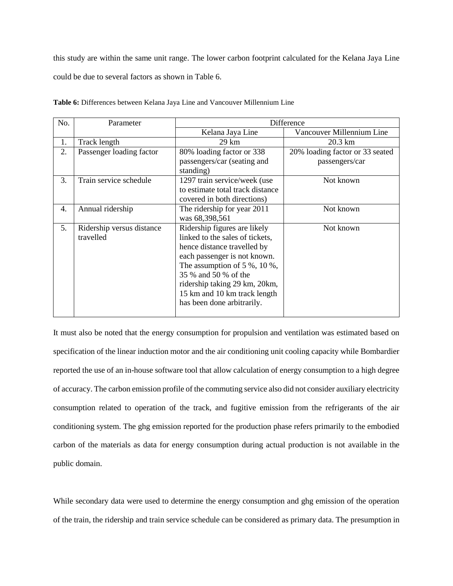this study are within the same unit range. The lower carbon footprint calculated for the Kelana Jaya Line could be due to several factors as shown in Table 6.

| No. | Parameter                 | Difference                         |                                 |
|-----|---------------------------|------------------------------------|---------------------------------|
|     |                           | Kelana Jaya Line                   | Vancouver Millennium Line       |
| 1.  | Track length              | 29 km                              | $20.3 \text{ km}$               |
| 2.  | Passenger loading factor  | 80% loading factor or 338          | 20% loading factor or 33 seated |
|     |                           | passengers/car (seating and        | passengers/car                  |
|     |                           | standing)                          |                                 |
| 3.  | Train service schedule    | 1297 train service/week (use       | Not known                       |
|     |                           | to estimate total track distance   |                                 |
|     |                           | covered in both directions)        |                                 |
| 4.  | Annual ridership          | The ridership for year 2011        | Not known                       |
|     |                           | was 68,398,561                     |                                 |
| 5.  | Ridership versus distance | Ridership figures are likely       | Not known                       |
|     | travelled                 | linked to the sales of tickets,    |                                 |
|     |                           | hence distance travelled by        |                                 |
|     |                           | each passenger is not known.       |                                 |
|     |                           | The assumption of $5\%$ , $10\%$ , |                                 |
|     |                           | 35 % and 50 % of the               |                                 |
|     |                           | ridership taking 29 km, 20 km,     |                                 |
|     |                           | 15 km and 10 km track length       |                                 |
|     |                           | has been done arbitrarily.         |                                 |
|     |                           |                                    |                                 |

**Table 6:** Differences between Kelana Jaya Line and Vancouver Millennium Line

It must also be noted that the energy consumption for propulsion and ventilation was estimated based on specification of the linear induction motor and the air conditioning unit cooling capacity while Bombardier reported the use of an in-house software tool that allow calculation of energy consumption to a high degree of accuracy. The carbon emission profile of the commuting service also did not consider auxiliary electricity consumption related to operation of the track, and fugitive emission from the refrigerants of the air conditioning system. The ghg emission reported for the production phase refers primarily to the embodied carbon of the materials as data for energy consumption during actual production is not available in the public domain.

While secondary data were used to determine the energy consumption and ghg emission of the operation of the train, the ridership and train service schedule can be considered as primary data. The presumption in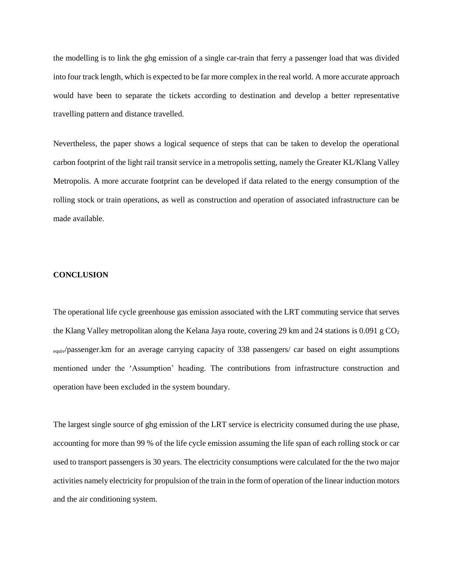the modelling is to link the ghg emission of a single car-train that ferry a passenger load that was divided into four track length, which is expected to be far more complex in the real world. A more accurate approach would have been to separate the tickets according to destination and develop a better representative travelling pattern and distance travelled.

Nevertheless, the paper shows a logical sequence of steps that can be taken to develop the operational carbon footprint of the light rail transit service in a metropolis setting, namely the Greater KL/Klang Valley Metropolis. A more accurate footprint can be developed if data related to the energy consumption of the rolling stock or train operations, as well as construction and operation of associated infrastructure can be made available.

#### **CONCLUSION**

The operational life cycle greenhouse gas emission associated with the LRT commuting service that serves the Klang Valley metropolitan along the Kelana Jaya route, covering 29 km and 24 stations is 0.091 g  $CO<sub>2</sub>$ equiv/passenger.km for an average carrying capacity of 338 passengers/ car based on eight assumptions mentioned under the 'Assumption' heading. The contributions from infrastructure construction and operation have been excluded in the system boundary.

The largest single source of ghg emission of the LRT service is electricity consumed during the use phase, accounting for more than 99 % of the life cycle emission assuming the life span of each rolling stock or car used to transport passengers is 30 years. The electricity consumptions were calculated for the the two major activities namely electricity for propulsion of the train in the form of operation of the linear induction motors and the air conditioning system.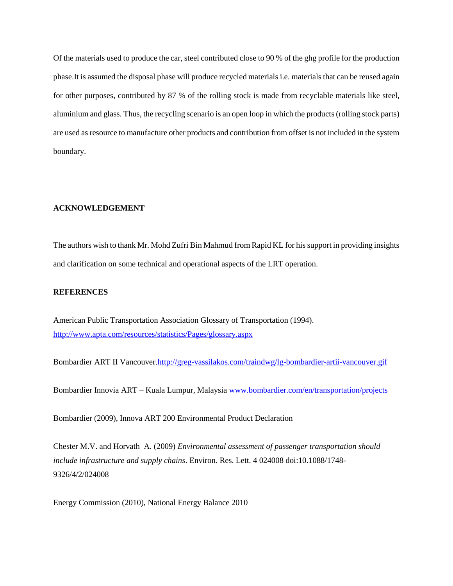Of the materials used to produce the car, steel contributed close to 90 % of the ghg profile for the production phase.It is assumed the disposal phase will produce recycled materials i.e. materials that can be reused again for other purposes, contributed by 87 % of the rolling stock is made from recyclable materials like steel, aluminium and glass. Thus, the recycling scenario is an open loop in which the products (rolling stock parts) are used as resource to manufacture other products and contribution from offset is not included in the system boundary.

# **ACKNOWLEDGEMENT**

The authors wish to thank Mr. Mohd Zufri Bin Mahmud from Rapid KL for his support in providing insights and clarification on some technical and operational aspects of the LRT operation.

#### **REFERENCES**

American Public Transportation Association Glossary of Transportation (1994). <http://www.apta.com/resources/statistics/Pages/glossary.aspx>

Bombardier ART II Vancouver[.http://greg-vassilakos.com/traindwg/lg-bombardier-artii-vancouver.gif](http://greg-vassilakos.com/traindwg/lg-bombardier-artii-vancouver.gif)

Bombardier Innovia ART – Kuala Lumpur, Malaysi[a www.bombardier.com/en/transportation/projects](http://www.bombardier.com/en/transportation/projects)

Bombardier (2009), Innova ART 200 Environmental Product Declaration

Chester M.V. and Horvath A. (2009) *Environmental assessment of passenger transportation should include infrastructure and supply chains*. Environ. Res. Lett. 4 024008 doi:10.1088/1748- 9326/4/2/024008

Energy Commission (2010), National Energy Balance 2010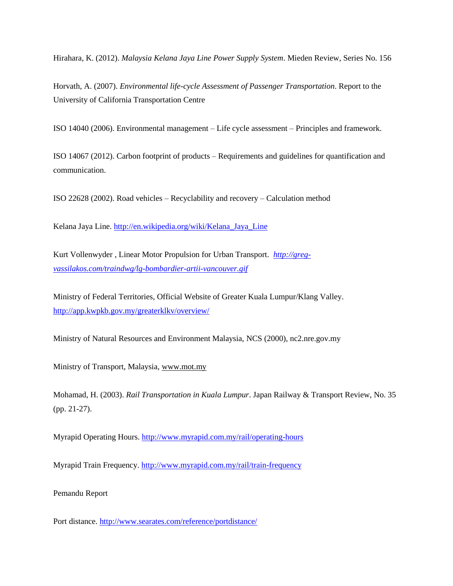Hirahara, K. (2012). *Malaysia Kelana Jaya Line Power Supply System*. Mieden Review, Series No. 156

Horvath, A. (2007). *Environmental life-cycle Assessment of Passenger Transportation*. Report to the University of California Transportation Centre

ISO 14040 (2006). Environmental management – Life cycle assessment – Principles and framework.

ISO 14067 (2012). Carbon footprint of products – Requirements and guidelines for quantification and communication.

ISO 22628 (2002). Road vehicles – Recyclability and recovery – Calculation method

Kelana Jaya Line. [http://en.wikipedia.org/wiki/Kelana\\_Jaya\\_Line](http://en.wikipedia.org/wiki/Kelana_Jaya_Line)

Kurt Vollenwyder , Linear Motor Propulsion for Urban Transport. *[http://greg](http://greg-vassilakos.com/traindwg/lg-bombardier-artii-vancouver.gif)[vassilakos.com/traindwg/lg-bombardier-artii-vancouver.gif](http://greg-vassilakos.com/traindwg/lg-bombardier-artii-vancouver.gif)*

Ministry of Federal Territories, Official Website of Greater Kuala Lumpur/Klang Valley. <http://app.kwpkb.gov.my/greaterklkv/overview/>

Ministry of Natural Resources and Environment Malaysia, NCS (2000), nc2.nre.gov.my

Ministry of Transport, Malaysia, [www.mot.my](http://www.mot.my/)

Mohamad, H. (2003). *Rail Transportation in Kuala Lumpur*. Japan Railway & Transport Review, No. 35 (pp. 21-27).

Myrapid Operating Hours.<http://www.myrapid.com.my/rail/operating-hours>

Myrapid Train Frequency.<http://www.myrapid.com.my/rail/train-frequency>

Pemandu Report

Port distance.<http://www.searates.com/reference/portdistance/>